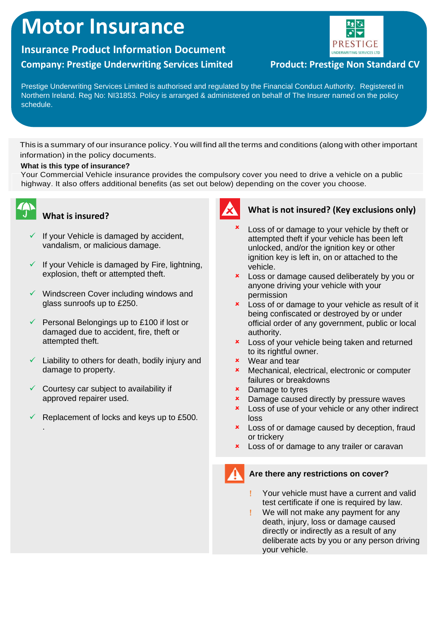# **Motor Insurance**

## **Insurance Product Information Document Company: Prestige Underwriting Services Limited Product: Prestige Non Standard CV**



Prestige Underwriting Services Limited is authorised and regulated by the Financial Conduct Authority. Registered in Northern Ireland. Reg No: NI31853. Policy is arranged & administered on behalf of The Insurer named on the policy schedule.

This is a summary of our insurance policy. You will find all the terms and conditions (along with other important information) in the policy documents.

#### **What is this type of insurance?**

Your Commercial Vehicle insurance provides the compulsory cover you need to drive a vehicle on a public highway. It also offers additional benefits (as set out below) depending on the cover you choose.



.

### **What is insured?**

- $\checkmark$  If your Vehicle is damaged by accident, vandalism, or malicious damage.
- $\checkmark$  If your Vehicle is damaged by Fire, lightning, explosion, theft or attempted theft.
- ✓ Windscreen Cover including windows and glass sunroofs up to £250.
- $\checkmark$  Personal Belongings up to £100 if lost or damaged due to accident, fire, theft or attempted theft.
- $\checkmark$  Liability to others for death, bodily injury and damage to property.
- $\checkmark$  Courtesy car subject to availability if approved repairer used.
- Replacement of locks and keys up to £500.



#### **What is not insured? (Key exclusions only)**

- × Loss of or damage to your vehicle by theft or attempted theft if your vehicle has been left unlocked, and/or the ignition key or other ignition key is left in, on or attached to the vehicle.
- **x** Loss or damage caused deliberately by you or anyone driving your vehicle with your permission
- **x** Loss of or damage to your vehicle as result of it being confiscated or destroyed by or under official order of any government, public or local authority.
- **x** Loss of your vehicle being taken and returned to its rightful owner.
- Wear and tear
- Mechanical, electrical, electronic or computer failures or breakdowns
- **\*** Damage to tyres
- **x** Damage caused directly by pressure waves
- **x** Loss of use of your vehicle or any other indirect loss
- **x** Loss of or damage caused by deception, fraud or trickery
- **x** Loss of or damage to any trailer or caravan

#### **Are there any restrictions on cover?**

- Your vehicle must have a current and valid test certificate if one is required by law.
- We will not make any payment for any death, injury, loss or damage caused directly or indirectly as a result of any deliberate acts by you or any person driving your vehicle.